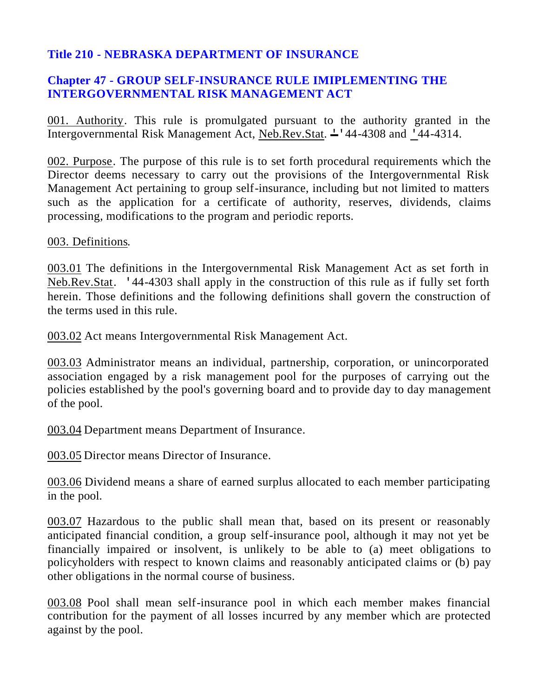# **Title 210 - NEBRASKA DEPARTMENT OF INSURANCE**

# **Chapter 47 - GROUP SELF-INSURANCE RULE IMIPLEMENTING THE INTERGOVERNMENTAL RISK MANAGEMENT ACT**

001. Authority. This rule is promulgated pursuant to the authority granted in the Intergovernmental Risk Management Act, Neb.Rev.Stat.  $\div$  44-4308 and '44-4314.

002. Purpose. The purpose of this rule is to set forth procedural requirements which the Director deems necessary to carry out the provisions of the Intergovernmental Risk Management Act pertaining to group self-insurance, including but not limited to matters such as the application for a certificate of authority, reserves, dividends, claims processing, modifications to the program and periodic reports.

003. Definitions.

003.01 The definitions in the Intergovernmental Risk Management Act as set forth in Neb.Rev.Stat. '44-4303 shall apply in the construction of this rule as if fully set forth herein. Those definitions and the following definitions shall govern the construction of the terms used in this rule.

003.02 Act means Intergovernmental Risk Management Act.

003.03 Administrator means an individual, partnership, corporation, or unincorporated association engaged by a risk management pool for the purposes of carrying out the policies established by the pool's governing board and to provide day to day management of the pool.

003.04 Department means Department of Insurance.

003.05 Director means Director of Insurance.

003.06 Dividend means a share of earned surplus allocated to each member participating in the pool.

003.07 Hazardous to the public shall mean that, based on its present or reasonably anticipated financial condition, a group self-insurance pool, although it may not yet be financially impaired or insolvent, is unlikely to be able to (a) meet obligations to policyholders with respect to known claims and reasonably anticipated claims or (b) pay other obligations in the normal course of business.

003.08 Pool shall mean self-insurance pool in which each member makes financial contribution for the payment of all losses incurred by any member which are protected against by the pool.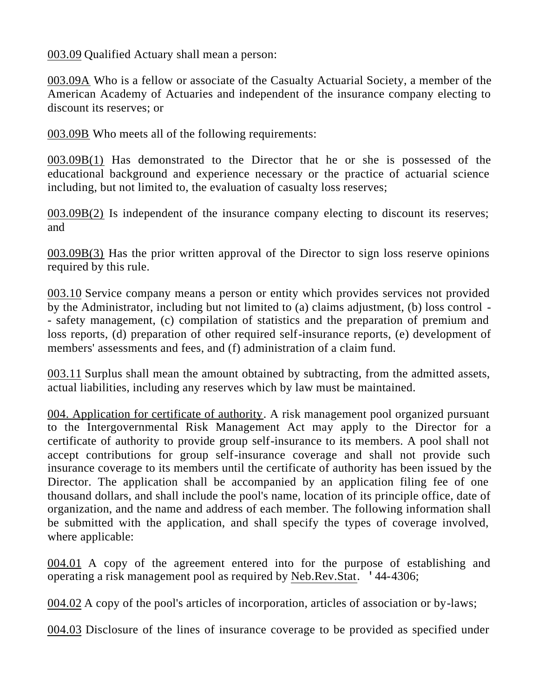003.09 Qualified Actuary shall mean a person:

003.09A Who is a fellow or associate of the Casualty Actuarial Society, a member of the American Academy of Actuaries and independent of the insurance company electing to discount its reserves; or

003.09B Who meets all of the following requirements:

003.09B(1) Has demonstrated to the Director that he or she is possessed of the educational background and experience necessary or the practice of actuarial science including, but not limited to, the evaluation of casualty loss reserves;

003.09B(2) Is independent of the insurance company electing to discount its reserves; and

003.09B(3) Has the prior written approval of the Director to sign loss reserve opinions required by this rule.

003.10 Service company means a person or entity which provides services not provided by the Administrator, including but not limited to (a) claims adjustment, (b) loss control - - safety management, (c) compilation of statistics and the preparation of premium and loss reports, (d) preparation of other required self-insurance reports, (e) development of members' assessments and fees, and (f) administration of a claim fund.

003.11 Surplus shall mean the amount obtained by subtracting, from the admitted assets, actual liabilities, including any reserves which by law must be maintained.

004. Application for certificate of authority. A risk management pool organized pursuant to the Intergovernmental Risk Management Act may apply to the Director for a certificate of authority to provide group self-insurance to its members. A pool shall not accept contributions for group self-insurance coverage and shall not provide such insurance coverage to its members until the certificate of authority has been issued by the Director. The application shall be accompanied by an application filing fee of one thousand dollars, and shall include the pool's name, location of its principle office, date of organization, and the name and address of each member. The following information shall be submitted with the application, and shall specify the types of coverage involved, where applicable:

004.01 A copy of the agreement entered into for the purpose of establishing and operating a risk management pool as required by Neb.Rev.Stat. '44-4306;

004.02 A copy of the pool's articles of incorporation, articles of association or by-laws;

004.03 Disclosure of the lines of insurance coverage to be provided as specified under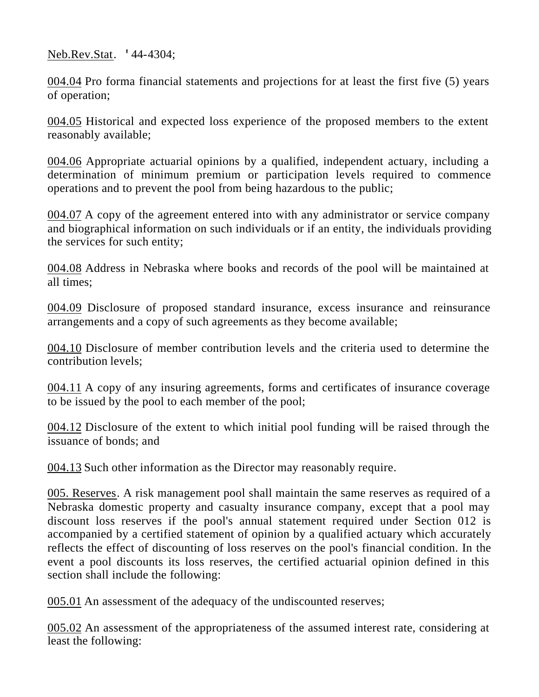Neb.Rev.Stat. '44-4304;

004.04 Pro forma financial statements and projections for at least the first five (5) years of operation;

004.05 Historical and expected loss experience of the proposed members to the extent reasonably available;

004.06 Appropriate actuarial opinions by a qualified, independent actuary, including a determination of minimum premium or participation levels required to commence operations and to prevent the pool from being hazardous to the public;

004.07 A copy of the agreement entered into with any administrator or service company and biographical information on such individuals or if an entity, the individuals providing the services for such entity;

004.08 Address in Nebraska where books and records of the pool will be maintained at all times;

004.09 Disclosure of proposed standard insurance, excess insurance and reinsurance arrangements and a copy of such agreements as they become available;

004.10 Disclosure of member contribution levels and the criteria used to determine the contribution levels;

004.11 A copy of any insuring agreements, forms and certificates of insurance coverage to be issued by the pool to each member of the pool;

004.12 Disclosure of the extent to which initial pool funding will be raised through the issuance of bonds; and

004.13 Such other information as the Director may reasonably require.

005. Reserves. A risk management pool shall maintain the same reserves as required of a Nebraska domestic property and casualty insurance company, except that a pool may discount loss reserves if the pool's annual statement required under Section 012 is accompanied by a certified statement of opinion by a qualified actuary which accurately reflects the effect of discounting of loss reserves on the pool's financial condition. In the event a pool discounts its loss reserves, the certified actuarial opinion defined in this section shall include the following:

005.01 An assessment of the adequacy of the undiscounted reserves;

005.02 An assessment of the appropriateness of the assumed interest rate, considering at least the following: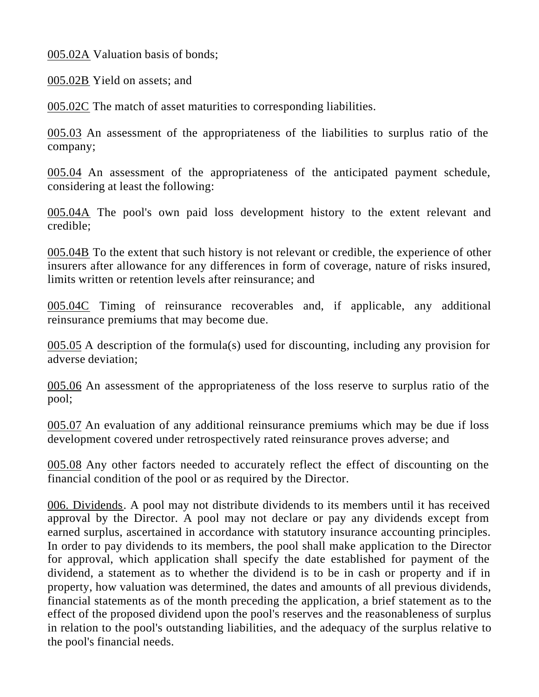005.02A Valuation basis of bonds;

005.02B Yield on assets; and

005.02C The match of asset maturities to corresponding liabilities.

005.03 An assessment of the appropriateness of the liabilities to surplus ratio of the company;

005.04 An assessment of the appropriateness of the anticipated payment schedule, considering at least the following:

005.04A The pool's own paid loss development history to the extent relevant and credible;

005.04B To the extent that such history is not relevant or credible, the experience of other insurers after allowance for any differences in form of coverage, nature of risks insured, limits written or retention levels after reinsurance; and

005.04C Timing of reinsurance recoverables and, if applicable, any additional reinsurance premiums that may become due.

005.05 A description of the formula(s) used for discounting, including any provision for adverse deviation;

005.06 An assessment of the appropriateness of the loss reserve to surplus ratio of the pool;

005.07 An evaluation of any additional reinsurance premiums which may be due if loss development covered under retrospectively rated reinsurance proves adverse; and

005.08 Any other factors needed to accurately reflect the effect of discounting on the financial condition of the pool or as required by the Director.

006. Dividends. A pool may not distribute dividends to its members until it has received approval by the Director. A pool may not declare or pay any dividends except from earned surplus, ascertained in accordance with statutory insurance accounting principles. In order to pay dividends to its members, the pool shall make application to the Director for approval, which application shall specify the date established for payment of the dividend, a statement as to whether the dividend is to be in cash or property and if in property, how valuation was determined, the dates and amounts of all previous dividends, financial statements as of the month preceding the application, a brief statement as to the effect of the proposed dividend upon the pool's reserves and the reasonableness of surplus in relation to the pool's outstanding liabilities, and the adequacy of the surplus relative to the pool's financial needs.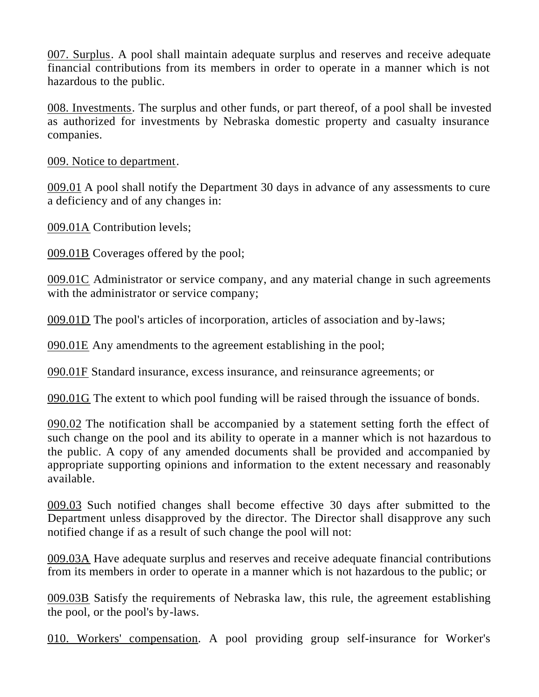007. Surplus. A pool shall maintain adequate surplus and reserves and receive adequate financial contributions from its members in order to operate in a manner which is not hazardous to the public.

008. Investments. The surplus and other funds, or part thereof, of a pool shall be invested as authorized for investments by Nebraska domestic property and casualty insurance companies.

009. Notice to department.

009.01 A pool shall notify the Department 30 days in advance of any assessments to cure a deficiency and of any changes in:

009.01A Contribution levels;

009.01B Coverages offered by the pool;

009.01C Administrator or service company, and any material change in such agreements with the administrator or service company;

009.01D The pool's articles of incorporation, articles of association and by-laws;

090.01E Any amendments to the agreement establishing in the pool;

090.01F Standard insurance, excess insurance, and reinsurance agreements; or

090.01G The extent to which pool funding will be raised through the issuance of bonds.

090.02 The notification shall be accompanied by a statement setting forth the effect of such change on the pool and its ability to operate in a manner which is not hazardous to the public. A copy of any amended documents shall be provided and accompanied by appropriate supporting opinions and information to the extent necessary and reasonably available.

009.03 Such notified changes shall become effective 30 days after submitted to the Department unless disapproved by the director. The Director shall disapprove any such notified change if as a result of such change the pool will not:

009.03A Have adequate surplus and reserves and receive adequate financial contributions from its members in order to operate in a manner which is not hazardous to the public; or

009.03B Satisfy the requirements of Nebraska law, this rule, the agreement establishing the pool, or the pool's by-laws.

010. Workers' compensation. A pool providing group self-insurance for Worker's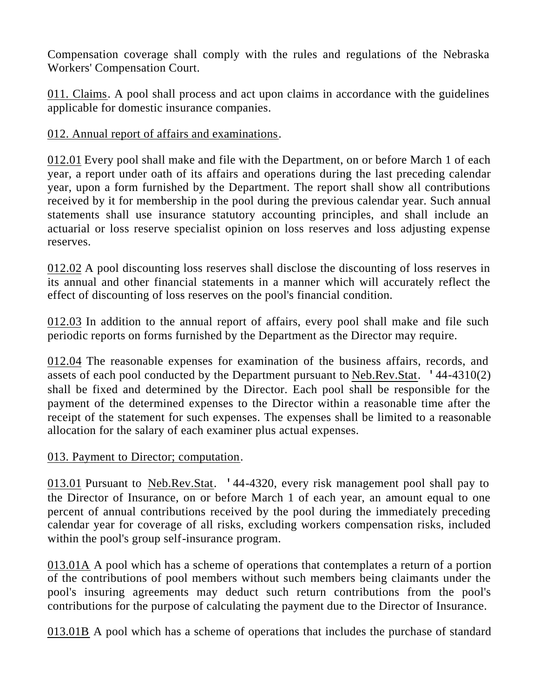Compensation coverage shall comply with the rules and regulations of the Nebraska Workers' Compensation Court.

011. Claims. A pool shall process and act upon claims in accordance with the guidelines applicable for domestic insurance companies.

012. Annual report of affairs and examinations.

012.01 Every pool shall make and file with the Department, on or before March 1 of each year, a report under oath of its affairs and operations during the last preceding calendar year, upon a form furnished by the Department. The report shall show all contributions received by it for membership in the pool during the previous calendar year. Such annual statements shall use insurance statutory accounting principles, and shall include an actuarial or loss reserve specialist opinion on loss reserves and loss adjusting expense reserves.

012.02 A pool discounting loss reserves shall disclose the discounting of loss reserves in its annual and other financial statements in a manner which will accurately reflect the effect of discounting of loss reserves on the pool's financial condition.

012.03 In addition to the annual report of affairs, every pool shall make and file such periodic reports on forms furnished by the Department as the Director may require.

012.04 The reasonable expenses for examination of the business affairs, records, and assets of each pool conducted by the Department pursuant to Neb.Rev.Stat. '44-4310(2) shall be fixed and determined by the Director. Each pool shall be responsible for the payment of the determined expenses to the Director within a reasonable time after the receipt of the statement for such expenses. The expenses shall be limited to a reasonable allocation for the salary of each examiner plus actual expenses.

#### 013. Payment to Director; computation.

013.01 Pursuant to Neb.Rev.Stat. '44-4320, every risk management pool shall pay to the Director of Insurance, on or before March 1 of each year, an amount equal to one percent of annual contributions received by the pool during the immediately preceding calendar year for coverage of all risks, excluding workers compensation risks, included within the pool's group self-insurance program.

013.01A A pool which has a scheme of operations that contemplates a return of a portion of the contributions of pool members without such members being claimants under the pool's insuring agreements may deduct such return contributions from the pool's contributions for the purpose of calculating the payment due to the Director of Insurance.

013.01B A pool which has a scheme of operations that includes the purchase of standard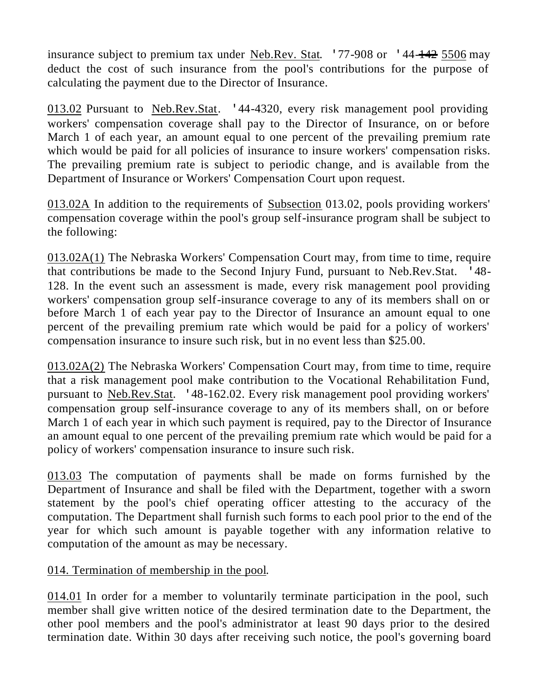insurance subject to premium tax under Neb.Rev. Stat.  $177-908$  or  $144-142$  5506 may deduct the cost of such insurance from the pool's contributions for the purpose of calculating the payment due to the Director of Insurance.

013.02 Pursuant to Neb.Rev.Stat. '44-4320, every risk management pool providing workers' compensation coverage shall pay to the Director of Insurance, on or before March 1 of each year, an amount equal to one percent of the prevailing premium rate which would be paid for all policies of insurance to insure workers' compensation risks. The prevailing premium rate is subject to periodic change, and is available from the Department of Insurance or Workers' Compensation Court upon request.

013.02A In addition to the requirements of Subsection 013.02, pools providing workers' compensation coverage within the pool's group self-insurance program shall be subject to the following:

013.02A(1) The Nebraska Workers' Compensation Court may, from time to time, require that contributions be made to the Second Injury Fund, pursuant to Neb.Rev.Stat. '48- 128. In the event such an assessment is made, every risk management pool providing workers' compensation group self-insurance coverage to any of its members shall on or before March 1 of each year pay to the Director of Insurance an amount equal to one percent of the prevailing premium rate which would be paid for a policy of workers' compensation insurance to insure such risk, but in no event less than \$25.00.

013.02A(2) The Nebraska Workers' Compensation Court may, from time to time, require that a risk management pool make contribution to the Vocational Rehabilitation Fund, pursuant to Neb.Rev.Stat. '48-162.02. Every risk management pool providing workers' compensation group self-insurance coverage to any of its members shall, on or before March 1 of each year in which such payment is required, pay to the Director of Insurance an amount equal to one percent of the prevailing premium rate which would be paid for a policy of workers' compensation insurance to insure such risk.

013.03 The computation of payments shall be made on forms furnished by the Department of Insurance and shall be filed with the Department, together with a sworn statement by the pool's chief operating officer attesting to the accuracy of the computation. The Department shall furnish such forms to each pool prior to the end of the year for which such amount is payable together with any information relative to computation of the amount as may be necessary.

#### 014. Termination of membership in the pool.

014.01 In order for a member to voluntarily terminate participation in the pool, such member shall give written notice of the desired termination date to the Department, the other pool members and the pool's administrator at least 90 days prior to the desired termination date. Within 30 days after receiving such notice, the pool's governing board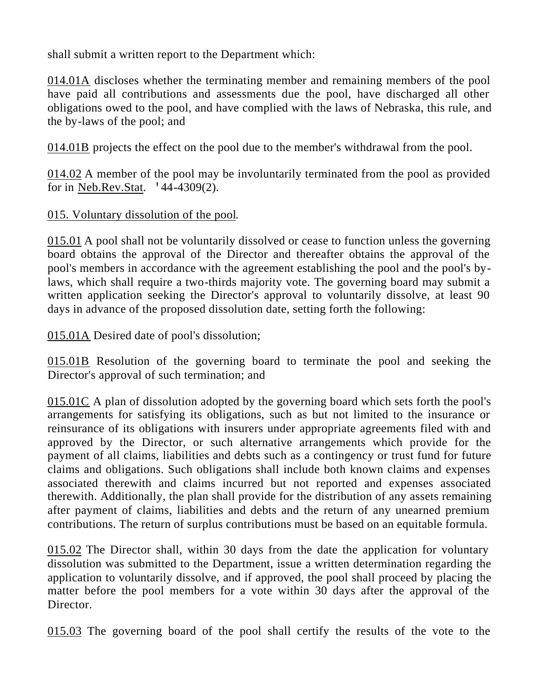shall submit a written report to the Department which:

014.01A discloses whether the terminating member and remaining members of the pool have paid all contributions and assessments due the pool, have discharged all other obligations owed to the pool, and have complied with the laws of Nebraska, this rule, and the by-laws of the pool; and

014.01B projects the effect on the pool due to the member's withdrawal from the pool.

014.02 A member of the pool may be involuntarily terminated from the pool as provided for in Neb.Rev.Stat. '44-4309(2).

# 015. Voluntary dissolution of the pool.

015.01 A pool shall not be voluntarily dissolved or cease to function unless the governing board obtains the approval of the Director and thereafter obtains the approval of the pool's members in accordance with the agreement establishing the pool and the pool's bylaws, which shall require a two-thirds majority vote. The governing board may submit a written application seeking the Director's approval to voluntarily dissolve, at least 90 days in advance of the proposed dissolution date, setting forth the following:

015.01A Desired date of pool's dissolution;

015.01B Resolution of the governing board to terminate the pool and seeking the Director's approval of such termination; and

 $015.01C$  A plan of dissolution adopted by the governing board which sets forth the pool's arrangements for satisfying its obligations, such as but not limited to the insurance or reinsurance of its obligations with insurers under appropriate agreements filed with and approved by the Director, or such alternative arrangements which provide for the payment of all claims, liabilities and debts such as a contingency or trust fund for future claims and obligations. Such obligations shall include both known claims and expenses associated therewith and claims incurred but not reported and expenses associated therewith. Additionally, the plan shall provide for the distribution of any assets remaining after payment of claims, liabilities and debts and the return of any unearned premium contributions. The return of surplus contributions must be based on an equitable formula.

015.02 The Director shall, within 30 days from the date the application for voluntary dissolution was submitted to the Department, issue a written determination regarding the application to voluntarily dissolve, and if approved, the pool shall proceed by placing the matter before the pool members for a vote within 30 days after the approval of the Director.

015.03 The governing board of the pool shall certify the results of the vote to the